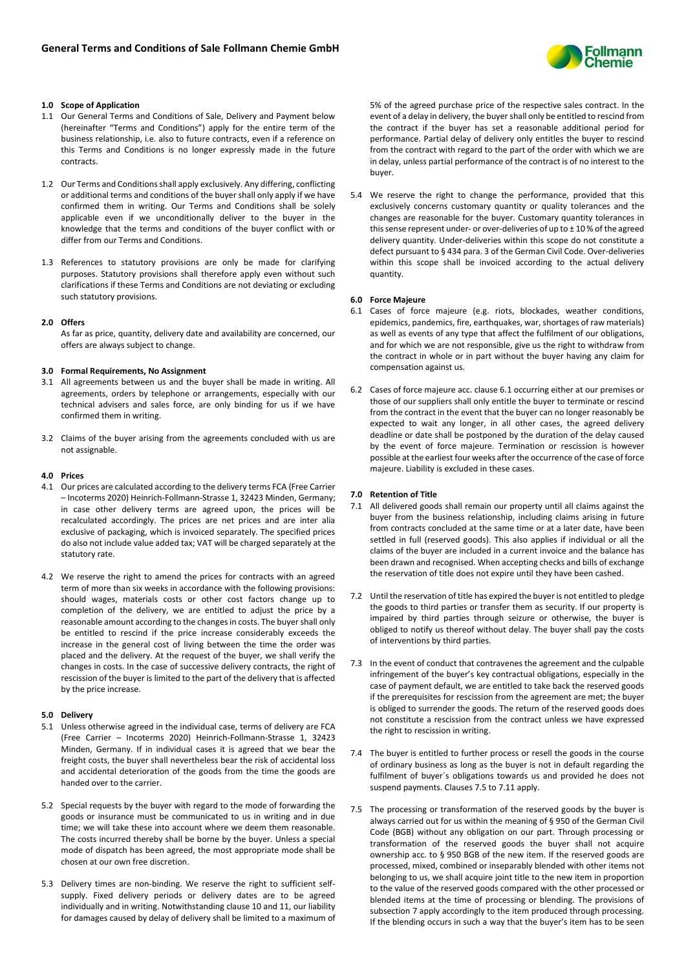

# **1.0 Scope of Application**

- 1.1 Our General Terms and Conditions of Sale, Delivery and Payment below (hereinafter "Terms and Conditions") apply for the entire term of the business relationship, i.e. also to future contracts, even if a reference on this Terms and Conditions is no longer expressly made in the future contracts.
- 1.2 Our Terms and Conditions shall apply exclusively. Any differing, conflicting or additional terms and conditions of the buyer shall only apply if we have confirmed them in writing. Our Terms and Conditions shall be solely applicable even if we unconditionally deliver to the buyer in the knowledge that the terms and conditions of the buyer conflict with or differ from our Terms and Conditions.
- 1.3 References to statutory provisions are only be made for clarifying purposes. Statutory provisions shall therefore apply even without such clarifications if these Terms and Conditions are not deviating or excluding such statutory provisions.

## **2.0 Offers**

As far as price, quantity, delivery date and availability are concerned, our offers are always subject to change.

## **3.0 Formal Requirements, No Assignment**

- 3.1 All agreements between us and the buyer shall be made in writing. All agreements, orders by telephone or arrangements, especially with our technical advisers and sales force, are only binding for us if we have confirmed them in writing.
- 3.2 Claims of the buyer arising from the agreements concluded with us are not assignable.

## **4.0 Prices**

- 4.1 Our prices are calculated according to the delivery terms FCA (Free Carrier – Incoterms 2020) Heinrich-Follmann-Strasse 1, 32423 Minden, Germany; in case other delivery terms are agreed upon, the prices will be recalculated accordingly. The prices are net prices and are inter alia exclusive of packaging, which is invoiced separately. The specified prices do also not include value added tax; VAT will be charged separately at the statutory rate.
- 4.2 We reserve the right to amend the prices for contracts with an agreed term of more than six weeks in accordance with the following provisions: should wages, materials costs or other cost factors change up to completion of the delivery, we are entitled to adjust the price by a reasonable amount according to the changes in costs. The buyer shall only be entitled to rescind if the price increase considerably exceeds the increase in the general cost of living between the time the order was placed and the delivery. At the request of the buyer, we shall verify the changes in costs. In the case of successive delivery contracts, the right of rescission of the buyer is limited to the part of the delivery that is affected by the price increase.

# **5.0 Delivery**

- 5.1 Unless otherwise agreed in the individual case, terms of delivery are FCA (Free Carrier – Incoterms 2020) Heinrich-Follmann-Strasse 1, 32423 Minden, Germany. If in individual cases it is agreed that we bear the freight costs, the buyer shall nevertheless bear the risk of accidental loss and accidental deterioration of the goods from the time the goods are handed over to the carrier.
- 5.2 Special requests by the buyer with regard to the mode of forwarding the goods or insurance must be communicated to us in writing and in due time; we will take these into account where we deem them reasonable. The costs incurred thereby shall be borne by the buyer. Unless a special mode of dispatch has been agreed, the most appropriate mode shall be chosen at our own free discretion.
- 5.3 Delivery times are non-binding. We reserve the right to sufficient selfsupply. Fixed delivery periods or delivery dates are to be agreed individually and in writing. Notwithstanding clause 10 and 11, our liability for damages caused by delay of delivery shall be limited to a maximum of

5% of the agreed purchase price of the respective sales contract. In the event of a delay in delivery, the buyer shall only be entitled to rescind from the contract if the buyer has set a reasonable additional period for performance. Partial delay of delivery only entitles the buyer to rescind from the contract with regard to the part of the order with which we are in delay, unless partial performance of the contract is of no interest to the buyer.

5.4 We reserve the right to change the performance, provided that this exclusively concerns customary quantity or quality tolerances and the changes are reasonable for the buyer. Customary quantity tolerances in this sense represent under- or over-deliveries of up to  $\pm$  10 % of the agreed delivery quantity. Under-deliveries within this scope do not constitute a defect pursuant to § 434 para. 3 of the German Civil Code. Over-deliveries within this scope shall be invoiced according to the actual delivery quantity.

## **6.0 Force Majeure**

- 6.1 Cases of force majeure (e.g. riots, blockades, weather conditions, epidemics, pandemics, fire, earthquakes, war, shortages of raw materials) as well as events of any type that affect the fulfilment of our obligations, and for which we are not responsible, give us the right to withdraw from the contract in whole or in part without the buyer having any claim for compensation against us.
- 6.2 Cases of force majeure acc. clause 6.1 occurring either at our premises or those of our suppliers shall only entitle the buyer to terminate or rescind from the contract in the event that the buyer can no longer reasonably be expected to wait any longer, in all other cases, the agreed delivery deadline or date shall be postponed by the duration of the delay caused by the event of force majeure. Termination or rescission is however possible at the earliest four weeks after the occurrence of the case of force majeure. Liability is excluded in these cases.

# **7.0 Retention of Title**

- 7.1 All delivered goods shall remain our property until all claims against the buyer from the business relationship, including claims arising in future from contracts concluded at the same time or at a later date, have been settled in full (reserved goods). This also applies if individual or all the claims of the buyer are included in a current invoice and the balance has been drawn and recognised. When accepting checks and bills of exchange the reservation of title does not expire until they have been cashed.
- 7.2 Until the reservation of title has expired the buyer is not entitled to pledge the goods to third parties or transfer them as security. If our property is impaired by third parties through seizure or otherwise, the buyer is obliged to notify us thereof without delay. The buyer shall pay the costs of interventions by third parties.
- 7.3 In the event of conduct that contravenes the agreement and the culpable infringement of the buyer's key contractual obligations, especially in the case of payment default, we are entitled to take back the reserved goods if the prerequisites for rescission from the agreement are met; the buyer is obliged to surrender the goods. The return of the reserved goods does not constitute a rescission from the contract unless we have expressed the right to rescission in writing.
- 7.4 The buyer is entitled to further process or resell the goods in the course of ordinary business as long as the buyer is not in default regarding the fulfilment of buyer´s obligations towards us and provided he does not suspend payments. Clauses 7.5 to 7.11 apply.
- 7.5 The processing or transformation of the reserved goods by the buyer is always carried out for us within the meaning of § 950 of the German Civil Code (BGB) without any obligation on our part. Through processing or transformation of the reserved goods the buyer shall not acquire ownership acc. to § 950 BGB of the new item. If the reserved goods are processed, mixed, combined or inseparably blended with other items not belonging to us, we shall acquire joint title to the new item in proportion to the value of the reserved goods compared with the other processed or blended items at the time of processing or blending. The provisions of subsection 7 apply accordingly to the item produced through processing. If the blending occurs in such a way that the buyer's item has to be seen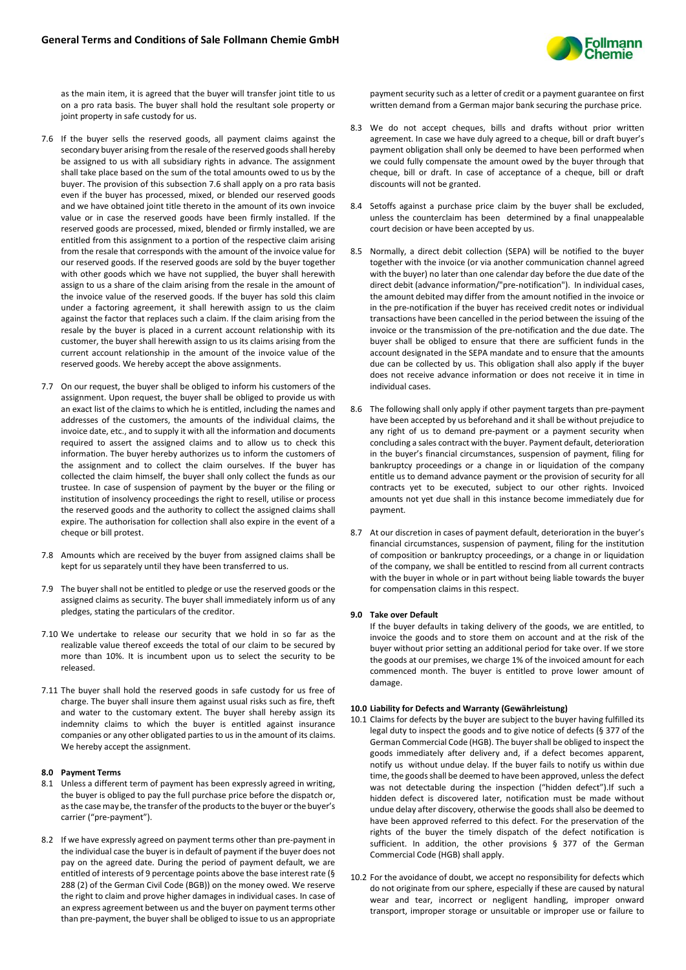

as the main item, it is agreed that the buyer will transfer joint title to us on a pro rata basis. The buyer shall hold the resultant sole property or joint property in safe custody for us.

- 7.6 If the buyer sells the reserved goods, all payment claims against the secondary buyer arising from the resale of the reserved goods shall hereby be assigned to us with all subsidiary rights in advance. The assignment shall take place based on the sum of the total amounts owed to us by the buyer. The provision of this subsection 7.6 shall apply on a pro rata basis even if the buyer has processed, mixed, or blended our reserved goods and we have obtained joint title thereto in the amount of its own invoice value or in case the reserved goods have been firmly installed. If the reserved goods are processed, mixed, blended or firmly installed, we are entitled from this assignment to a portion of the respective claim arising from the resale that corresponds with the amount of the invoice value for our reserved goods. If the reserved goods are sold by the buyer together with other goods which we have not supplied, the buyer shall herewith assign to us a share of the claim arising from the resale in the amount of the invoice value of the reserved goods. If the buyer has sold this claim under a factoring agreement, it shall herewith assign to us the claim against the factor that replaces such a claim. If the claim arising from the resale by the buyer is placed in a current account relationship with its customer, the buyer shall herewith assign to us its claims arising from the current account relationship in the amount of the invoice value of the reserved goods. We hereby accept the above assignments.
- 7.7 On our request, the buyer shall be obliged to inform his customers of the assignment. Upon request, the buyer shall be obliged to provide us with an exact list of the claims to which he is entitled, including the names and addresses of the customers, the amounts of the individual claims, the invoice date, etc., and to supply it with all the information and documents required to assert the assigned claims and to allow us to check this information. The buyer hereby authorizes us to inform the customers of the assignment and to collect the claim ourselves. If the buyer has collected the claim himself, the buyer shall only collect the funds as our trustee. In case of suspension of payment by the buyer or the filing or institution of insolvency proceedings the right to resell, utilise or process the reserved goods and the authority to collect the assigned claims shall expire. The authorisation for collection shall also expire in the event of a cheque or bill protest.
- 7.8 Amounts which are received by the buyer from assigned claims shall be kept for us separately until they have been transferred to us.
- 7.9 The buyer shall not be entitled to pledge or use the reserved goods or the assigned claims as security. The buyer shall immediately inform us of any pledges, stating the particulars of the creditor.
- 7.10 We undertake to release our security that we hold in so far as the realizable value thereof exceeds the total of our claim to be secured by more than 10%. It is incumbent upon us to select the security to be released.
- 7.11 The buyer shall hold the reserved goods in safe custody for us free of charge. The buyer shall insure them against usual risks such as fire, theft and water to the customary extent. The buyer shall hereby assign its indemnity claims to which the buyer is entitled against insurance companies or any other obligated parties to us in the amount of its claims. We hereby accept the assignment.

# **8.0 Payment Terms**

- 8.1 Unless a different term of payment has been expressly agreed in writing, the buyer is obliged to pay the full purchase price before the dispatch or, as the case may be, the transfer of the products to the buyer or the buyer's carrier ("pre-payment").
- 8.2 If we have expressly agreed on payment terms other than pre-payment in the individual case the buyer is in default of payment if the buyer does not pay on the agreed date. During the period of payment default, we are entitled of interests of 9 percentage points above the base interest rate (§ 288 (2) of the German Civil Code (BGB)) on the money owed. We reserve the right to claim and prove higher damages in individual cases. In case of an express agreement between us and the buyer on payment terms other than pre-payment, the buyer shall be obliged to issue to us an appropriate

payment security such as a letter of credit or a payment guarantee on first written demand from a German major bank securing the purchase price.

- 8.3 We do not accept cheques, bills and drafts without prior written agreement. In case we have duly agreed to a cheque, bill or draft buyer's payment obligation shall only be deemed to have been performed when we could fully compensate the amount owed by the buyer through that cheque, bill or draft. In case of acceptance of a cheque, bill or draft discounts will not be granted.
- 8.4 Setoffs against a purchase price claim by the buyer shall be excluded, unless the counterclaim has been determined by a final unappealable court decision or have been accepted by us.
- 8.5 Normally, a direct debit collection (SEPA) will be notified to the buyer together with the invoice (or via another communication channel agreed with the buyer) no later than one calendar day before the due date of the direct debit (advance information/"pre-notification"). In individual cases, the amount debited may differ from the amount notified in the invoice or in the pre-notification if the buyer has received credit notes or individual transactions have been cancelled in the period between the issuing of the invoice or the transmission of the pre-notification and the due date. The buyer shall be obliged to ensure that there are sufficient funds in the account designated in the SEPA mandate and to ensure that the amounts due can be collected by us. This obligation shall also apply if the buyer does not receive advance information or does not receive it in time in individual cases.
- 8.6 The following shall only apply if other payment targets than pre-payment have been accepted by us beforehand and it shall be without prejudice to any right of us to demand pre-payment or a payment security when concluding a sales contract with the buyer. Payment default, deterioration in the buyer's financial circumstances, suspension of payment, filing for bankruptcy proceedings or a change in or liquidation of the company entitle us to demand advance payment or the provision of security for all contracts yet to be executed, subject to our other rights. Invoiced amounts not yet due shall in this instance become immediately due for payment.
- 8.7 At our discretion in cases of payment default, deterioration in the buyer's financial circumstances, suspension of payment, filing for the institution of composition or bankruptcy proceedings, or a change in or liquidation of the company, we shall be entitled to rescind from all current contracts with the buyer in whole or in part without being liable towards the buyer for compensation claims in this respect.

# **9.0 Take over Default**

If the buyer defaults in taking delivery of the goods, we are entitled, to invoice the goods and to store them on account and at the risk of the buyer without prior setting an additional period for take over. If we store the goods at our premises, we charge 1% of the invoiced amount for each commenced month. The buyer is entitled to prove lower amount of damage.

#### **10.0 Liability for Defects and Warranty (Gewährleistung)**

- 10.1 Claims for defects by the buyer are subject to the buyer having fulfilled its legal duty to inspect the goods and to give notice of defects (§ 377 of the German Commercial Code (HGB). The buyer shall be obliged to inspect the goods immediately after delivery and, if a defect becomes apparent, notify us without undue delay. If the buyer fails to notify us within due time, the goods shall be deemed to have been approved, unless the defect was not detectable during the inspection ("hidden defect").If such a hidden defect is discovered later, notification must be made without undue delay after discovery, otherwise the goods shall also be deemed to have been approved referred to this defect. For the preservation of the rights of the buyer the timely dispatch of the defect notification is sufficient. In addition, the other provisions § 377 of the German Commercial Code (HGB) shall apply.
- 10.2 For the avoidance of doubt, we accept no responsibility for defects which do not originate from our sphere, especially if these are caused by natural wear and tear, incorrect or negligent handling, improper onward transport, improper storage or unsuitable or improper use or failure to